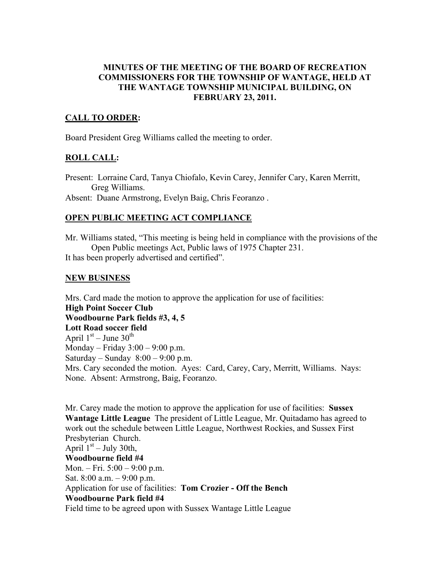#### MINUTES OF THE MEETING OF THE BOARD OF RECREATION COMMISSIONERS FOR THE TOWNSHIP OF WANTAGE, HELD AT THE WANTAGE TOWNSHIP MUNICIPAL BUILDING, ON FEBRUARY 23, 2011.

### CALL TO ORDER:

Board President Greg Williams called the meeting to order.

### ROLL CALL:

Present: Lorraine Card, Tanya Chiofalo, Kevin Carey, Jennifer Cary, Karen Merritt, Greg Williams.

Absent: Duane Armstrong, Evelyn Baig, Chris Feoranzo .

### OPEN PUBLIC MEETING ACT COMPLIANCE

Mr. Williams stated, "This meeting is being held in compliance with the provisions of the Open Public meetings Act, Public laws of 1975 Chapter 231.

It has been properly advertised and certified".

### NEW BUSINESS

Mrs. Card made the motion to approve the application for use of facilities: High Point Soccer Club Woodbourne Park fields #3, 4, 5 Lott Road soccer field April  $1<sup>st</sup>$  – June  $30<sup>th</sup>$ Monday – Friday 3:00 – 9:00 p.m. Saturday – Sunday  $8:00 - 9:00$  p.m. Mrs. Cary seconded the motion. Ayes: Card, Carey, Cary, Merritt, Williams. Nays: None. Absent: Armstrong, Baig, Feoranzo.

Mr. Carey made the motion to approve the application for use of facilities: Sussex Wantage Little League The president of Little League, Mr. Quitadamo has agreed to work out the schedule between Little League, Northwest Rockies, and Sussex First Presbyterian Church. April  $1<sup>st</sup> - July 30th$ , Woodbourne field #4 Mon. – Fri. 5:00 – 9:00 p.m. Sat.  $8:00$  a.m.  $-9:00$  p.m. Application for use of facilities: Tom Crozier - Off the Bench Woodbourne Park field #4 Field time to be agreed upon with Sussex Wantage Little League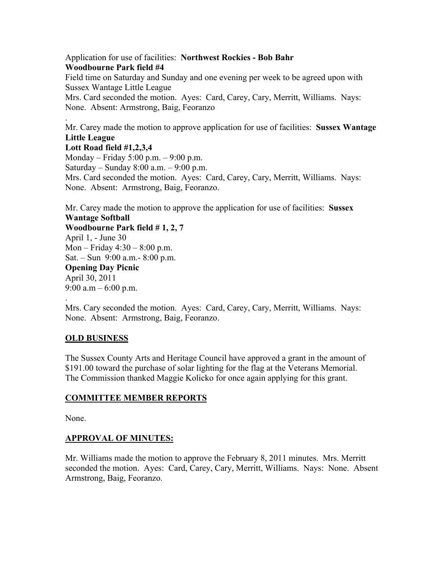#### Application for use of facilities: Northwest Rockies - Bob Bahr Woodbourne Park field #4

Field time on Saturday and Sunday and one evening per week to be agreed upon with Sussex Wantage Little League Mrs. Card seconded the motion. Ayes: Card, Carey, Cary, Merritt, Williams. Nays: None. Absent: Armstrong, Baig, Feoranzo

Mr. Carey made the motion to approve application for use of facilities: Sussex Wantage Little League

#### Lott Road field #1,2,3,4

.

Monday – Friday 5:00 p.m. – 9:00 p.m. Saturday – Sunday  $8:00$  a.m. –  $9:00$  p.m. Mrs. Card seconded the motion. Ayes: Card, Carey, Cary, Merritt, Williams. Nays: None. Absent: Armstrong, Baig, Feoranzo.

Mr. Carey made the motion to approve the application for use of facilities: Sussex Wantage Softball Woodbourne Park field # 1, 2, 7 April 1, - June 30

Mon – Friday 4:30 – 8:00 p.m. Sat. – Sun 9:00 a.m.- 8:00 p.m. Opening Day Picnic April 30, 2011 9:00 a.m  $-$  6:00 p.m.

. Mrs. Cary seconded the motion. Ayes: Card, Carey, Cary, Merritt, Williams. Nays:

# OLD BUSINESS

The Sussex County Arts and Heritage Council have approved a grant in the amount of \$191.00 toward the purchase of solar lighting for the flag at the Veterans Memorial. The Commission thanked Maggie Kolicko for once again applying for this grant.

## COMMITTEE MEMBER REPORTS

None. Absent: Armstrong, Baig, Feoranzo.

None.

## APPROVAL OF MINUTES:

Mr. Williams made the motion to approve the February 8, 2011 minutes. Mrs. Merritt seconded the motion. Ayes: Card, Carey, Cary, Merritt, Williams. Nays: None. Absent Armstrong, Baig, Feoranzo.